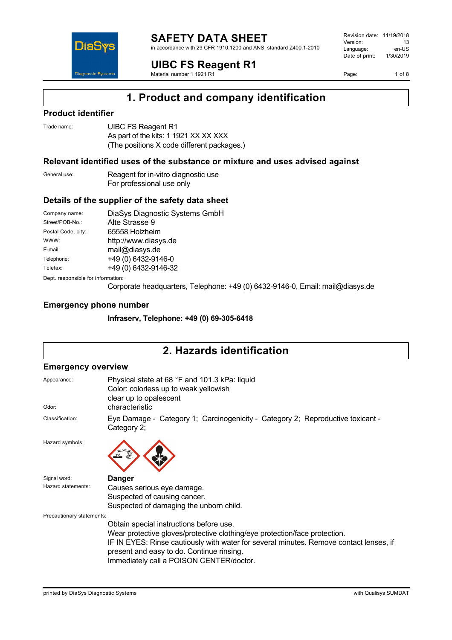

in accordance with 29 CFR 1910.1200 and ANSI standard Z400.1-2010

**UIBC FS Reagent R1**

Material number 1 1921 R1

Revision date: 11/19/2018 Version: 13<br>Language: en-LIS Language: en-US<br>Date of print: 1/30/2019  $Date$  of print:

Page: 1 of 8



#### **Product identifier**

**DiaS** 

**Diagnostic System** 

Trade name: **UIBC FS Reagent R1** As part of the kits: 1 1921 XX XX XXX (The positions X code different packages.)

#### **Relevant identified uses of the substance or mixture and uses advised against**

General use: Reagent for in-vitro diagnostic use For professional use only

#### **Details of the supplier of the safety data sheet**

Company name: DiaSys Diagnostic Systems GmbH Street/POB-No.: Alte Strasse 9 Postal Code, city: 65558 Holzheim WWW: <http://www.diasys.de> E-mail: mail@diasys.de Telephone: +49 (0) 6432-9146-0 Telefax: +49 (0) 6432-9146-32

Dept. responsible for information:

Corporate headquarters, Telephone: +49 (0) 6432-9146-0, Email: mail@diasys.de

#### **Emergency phone number**

**Infraserv, Telephone: +49 (0) 69-305-6418**

## **2. Hazards identification**

#### **Emergency overview**

| Appearance:               | Physical state at 68 °F and 101.3 kPa: liquid<br>Color: colorless up to weak yellowish<br>clear up to opalescent                                                                                                                                              |
|---------------------------|---------------------------------------------------------------------------------------------------------------------------------------------------------------------------------------------------------------------------------------------------------------|
| Odor:                     | characteristic                                                                                                                                                                                                                                                |
| Classification:           | Eye Damage - Category 1; Carcinogenicity - Category 2; Reproductive toxicant -<br>Category 2;                                                                                                                                                                 |
| Hazard symbols:           |                                                                                                                                                                                                                                                               |
| Signal word:              | <b>Danger</b>                                                                                                                                                                                                                                                 |
| Hazard statements:        | Causes serious eye damage.                                                                                                                                                                                                                                    |
|                           | Suspected of causing cancer.                                                                                                                                                                                                                                  |
|                           | Suspected of damaging the unborn child.                                                                                                                                                                                                                       |
| Precautionary statements: |                                                                                                                                                                                                                                                               |
|                           | Obtain special instructions before use.                                                                                                                                                                                                                       |
|                           | Wear protective gloves/protective clothing/eye protection/face protection.<br>IF IN EYES: Rinse cautiously with water for several minutes. Remove contact lenses, if<br>present and easy to do. Continue rinsing.<br>Immediately call a POISON CENTER/doctor. |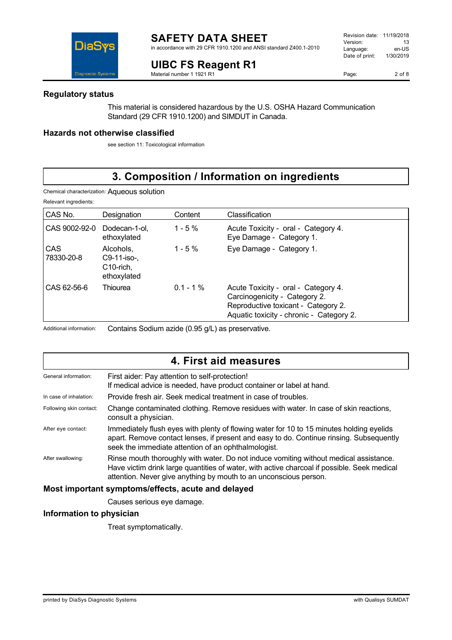in accordance with 29 CFR 1910.1200 and ANSI standard Z400.1-2010

#### **UIBC FS Reagent R1** Material number 1 1921 R1



### **Regulatory status**

This material is considered hazardous by the U.S. OSHA Hazard Communication Standard (29 CFR 1910.1200) and SIMDUT in Canada.

### **Hazards not otherwise classified**

see section 11: Toxicological information

# **3. Composition / Information on ingredients**

Chemical characterization: Aqueous solution

Relevant ingredients:

| CAS No.                  | Designation                                             | Content     | Classification                                                                                                                                          |
|--------------------------|---------------------------------------------------------|-------------|---------------------------------------------------------------------------------------------------------------------------------------------------------|
| CAS 9002-92-0            | Dodecan-1-ol.<br>ethoxylated                            | $1 - 5\%$   | Acute Toxicity - oral - Category 4.<br>Eye Damage - Category 1.                                                                                         |
| <b>CAS</b><br>78330-20-8 | Alcohols.<br>C9-11-iso-,<br>$C10$ -rich,<br>ethoxylated | $1 - 5\%$   | Eye Damage - Category 1.                                                                                                                                |
| CAS 62-56-6              | Thiourea                                                | $0.1 - 1\%$ | Acute Toxicity - oral - Category 4.<br>Carcinogenicity - Category 2.<br>Reproductive toxicant - Category 2.<br>Aquatic toxicity - chronic - Category 2. |

Additional information: Contains Sodium azide (0.95 g/L) as preservative.

# **4. First aid measures**

| General information:    | First aider: Pay attention to self-protection!<br>If medical advice is needed, have product container or label at hand.                                                                                                                                   |
|-------------------------|-----------------------------------------------------------------------------------------------------------------------------------------------------------------------------------------------------------------------------------------------------------|
| In case of inhalation:  | Provide fresh air. Seek medical treatment in case of troubles.                                                                                                                                                                                            |
| Following skin contact: | Change contaminated clothing. Remove residues with water. In case of skin reactions,<br>consult a physician.                                                                                                                                              |
| After eye contact:      | Immediately flush eyes with plenty of flowing water for 10 to 15 minutes holding eyelids<br>apart. Remove contact lenses, if present and easy to do. Continue rinsing. Subsequently<br>seek the immediate attention of an ophthalmologist.                |
| After swallowing:       | Rinse mouth thoroughly with water. Do not induce vomiting without medical assistance.<br>Have victim drink large quantities of water, with active charcoal if possible. Seek medical<br>attention. Never give anything by mouth to an unconscious person. |
|                         | Most important symptoms/effects, acute and delayed                                                                                                                                                                                                        |

Causes serious eye damage.

### **Information to physician**

Treat symptomatically.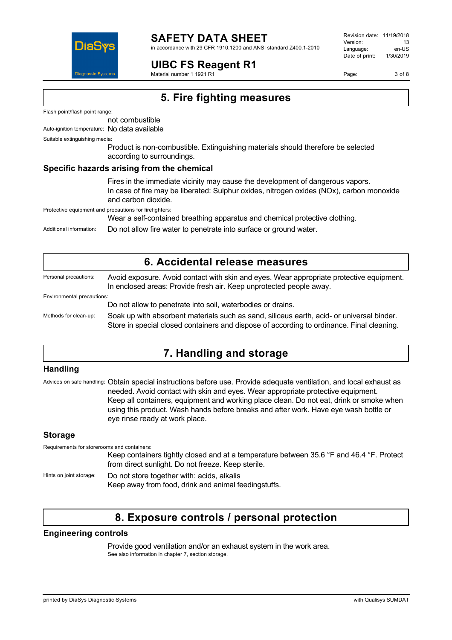

# **SAFETY DATA SHEET**

in accordance with 29 CFR 1910.1200 and ANSI standard Z400.1-2010

## **UIBC FS Reagent R1**

Material number 1 1921 R1

Revision date: 11/19/2018 Version: 13<br>Language: en-LIS Language: en-US<br>Date of print: 1/30/2019  $Date$  of print:

Page: 3 of 8

**5. Fire fighting measures**

Flash point/flash point range:

not combustible

Auto-ignition temperature: No data available

Suitable extinguishing media:

Product is non-combustible. Extinguishing materials should therefore be selected according to surroundings.

#### **Specific hazards arising from the chemical**

Fires in the immediate vicinity may cause the development of dangerous vapors. In case of fire may be liberated: Sulphur oxides, nitrogen oxides (NOx), carbon monoxide and carbon dioxide.

Protective equipment and precautions for firefighters:

Wear a self-contained breathing apparatus and chemical protective clothing.

Additional information: Do not allow fire water to penetrate into surface or ground water.

| 6. Accidental release measures |                                                                                                                                                                                        |  |
|--------------------------------|----------------------------------------------------------------------------------------------------------------------------------------------------------------------------------------|--|
| Personal precautions:          | Avoid exposure. Avoid contact with skin and eyes. Wear appropriate protective equipment.<br>In enclosed areas: Provide fresh air. Keep unprotected people away.                        |  |
| Environmental precautions:     |                                                                                                                                                                                        |  |
|                                | Do not allow to penetrate into soil, waterbodies or drains.                                                                                                                            |  |
| Methods for clean-up:          | Soak up with absorbent materials such as sand, siliceus earth, acid- or universal binder.<br>Store in special closed containers and dispose of according to ordinance. Final cleaning. |  |

# **7. Handling and storage**

#### **Handling**

Advices on safe handling: Obtain special instructions before use. Provide adequate ventilation, and local exhaust as needed. Avoid contact with skin and eyes. Wear appropriate protective equipment. Keep all containers, equipment and working place clean. Do not eat, drink or smoke when using this product. Wash hands before breaks and after work. Have eye wash bottle or eye rinse ready at work place.

### **Storage**

| Requirements for storerooms and containers: |                                                                                                                                                |
|---------------------------------------------|------------------------------------------------------------------------------------------------------------------------------------------------|
|                                             | Keep containers tightly closed and at a temperature between 35.6 °F and 46.4 °F. Protect<br>from direct sunlight. Do not freeze. Keep sterile. |
| Hints on joint storage:                     | Do not store together with: acids, alkalis<br>Keep away from food, drink and animal feedingstuffs.                                             |

# **8. Exposure controls / personal protection**

### **Engineering controls**

Provide good ventilation and/or an exhaust system in the work area. See also information in chapter 7, section storage.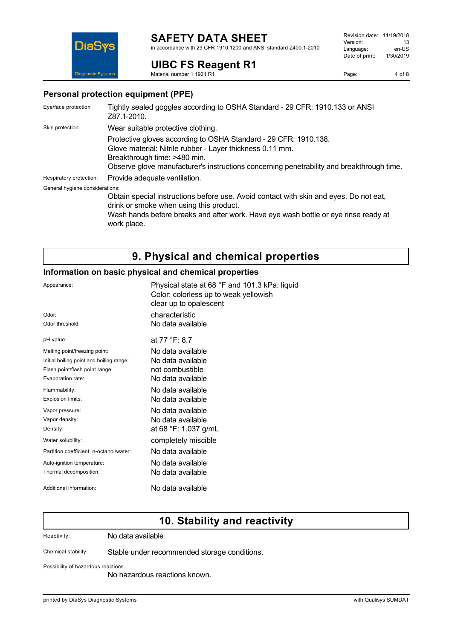# **SAFETY DATA SHEET**

in accordance with 29 CFR 1910.1200 and ANSI standard Z400.1-2010

## **UIBC FS Reagent R1**

Material number 1 1921 R1

Page: 4 of 8



#### **Personal protection equipment (PPE)**

| Eye/face protection             | Tightly sealed goggles according to OSHA Standard - 29 CFR: 1910.133 or ANSI<br>Z87.1-2010.                                                                                                                                                                |
|---------------------------------|------------------------------------------------------------------------------------------------------------------------------------------------------------------------------------------------------------------------------------------------------------|
| Skin protection                 | Wear suitable protective clothing.                                                                                                                                                                                                                         |
|                                 | Protective gloves according to OSHA Standard - 29 CFR: 1910.138.<br>Glove material: Nitrile rubber - Layer thickness 0.11 mm.<br>Breakthrough time: >480 min.<br>Observe glove manufacturer's instructions concerning penetrability and breakthrough time. |
| Respiratory protection:         | Provide adequate ventilation.                                                                                                                                                                                                                              |
| General hygiene considerations: | Obtain special instructions before use. Avoid contact with skin and eyes. Do not eat,<br>drink or smoke when using this product.<br>Wash hands before breaks and after work. Have eye wash bottle or eye rinse ready at<br>work place.                     |

# **9. Physical and chemical properties**

### **Information on basic physical and chemical properties**

| Appearance:                              | Physical state at 68 °F and 101.3 kPa: liquid<br>Color: colorless up to weak yellowish<br>clear up to opalescent |
|------------------------------------------|------------------------------------------------------------------------------------------------------------------|
| Odor:                                    | characteristic                                                                                                   |
| Odor threshold:                          | No data available                                                                                                |
| pH value:                                | at 77 °F: 8.7                                                                                                    |
| Melting point/freezing point:            | No data available                                                                                                |
| Initial boiling point and boiling range: | No data available                                                                                                |
| Flash point/flash point range:           | not combustible                                                                                                  |
| Evaporation rate:                        | No data available                                                                                                |
| Flammability:                            | No data available                                                                                                |
| Explosion limits:                        | No data available.                                                                                               |
| Vapor pressure:                          | No data available                                                                                                |
| Vapor density:                           | No data available                                                                                                |
| Density:                                 | at 68 °F: 1.037 g/mL                                                                                             |
| Water solubility:                        | completely miscible                                                                                              |
| Partition coefficient: n-octanol/water:  | No data available                                                                                                |
| Auto-ignition temperature:               | No data available                                                                                                |
| Thermal decomposition:                   | No data available.                                                                                               |
| Additional information:                  | No data available                                                                                                |

# **10. Stability and reactivity**

Reactivity: No data available

Chemical stability: Stable under recommended storage conditions.

Possibility of hazardous reactions

No hazardous reactions known.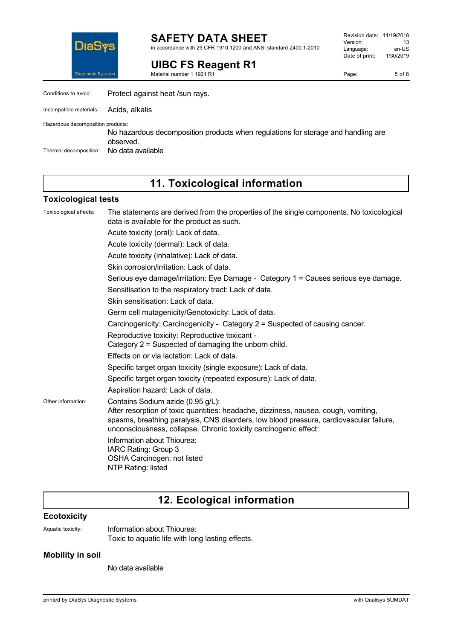

**SAFETY DATA SHEET** in accordance with 29 CFR 1910.1200 and ANSI standard Z400.1-2010

# **UIBC FS Reagent R1**

Material number 1 1921 R1

Page: 5 of 8

| Conditions to avoid:              | Protect against heat /sun rays.                                                                |
|-----------------------------------|------------------------------------------------------------------------------------------------|
| Incompatible materials:           | Acids, alkalis                                                                                 |
| Hazardous decomposition products: | No hazardous decomposition products when regulations for storage and handling are<br>observed. |
| Thermal decomposition:            | No data available                                                                              |

# **11. Toxicological information**

### **Toxicological tests**

| Toxicological effects: | The statements are derived from the properties of the single components. No toxicological<br>data is available for the product as such.                                                                                                                                                                                |
|------------------------|------------------------------------------------------------------------------------------------------------------------------------------------------------------------------------------------------------------------------------------------------------------------------------------------------------------------|
|                        | Acute toxicity (oral): Lack of data.                                                                                                                                                                                                                                                                                   |
|                        | Acute toxicity (dermal): Lack of data.                                                                                                                                                                                                                                                                                 |
|                        | Acute toxicity (inhalative): Lack of data.                                                                                                                                                                                                                                                                             |
|                        | Skin corrosion/irritation: Lack of data.                                                                                                                                                                                                                                                                               |
|                        | Serious eye damage/irritation: Eye Damage - Category 1 = Causes serious eye damage.                                                                                                                                                                                                                                    |
|                        | Sensitisation to the respiratory tract: Lack of data.                                                                                                                                                                                                                                                                  |
|                        | Skin sensitisation: Lack of data.                                                                                                                                                                                                                                                                                      |
|                        | Germ cell mutagenicity/Genotoxicity: Lack of data.                                                                                                                                                                                                                                                                     |
|                        | Carcinogenicity: Carcinogenicity - Category 2 = Suspected of causing cancer.                                                                                                                                                                                                                                           |
|                        | Reproductive toxicity: Reproductive toxicant -<br>Category 2 = Suspected of damaging the unborn child.                                                                                                                                                                                                                 |
|                        | Effects on or via lactation: Lack of data.                                                                                                                                                                                                                                                                             |
|                        | Specific target organ toxicity (single exposure): Lack of data.                                                                                                                                                                                                                                                        |
|                        | Specific target organ toxicity (repeated exposure): Lack of data.                                                                                                                                                                                                                                                      |
|                        | Aspiration hazard: Lack of data.                                                                                                                                                                                                                                                                                       |
| Other information:     | Contains Sodium azide (0.95 g/L):<br>After resorption of toxic quantities: headache, dizziness, nausea, cough, vomiting,<br>spasms, breathing paralysis, CNS disorders, low blood pressure, cardiovascular failure,<br>unconsciousness, collapse. Chronic toxicity carcinogenic effect:<br>Information about Thiourea: |
|                        | IARC Rating: Group 3<br>OSHA Carcinogen: not listed<br>NTP Rating: listed                                                                                                                                                                                                                                              |

# **12. Ecological information**

### **Ecotoxicity**

Aquatic toxicity: Information about Thiourea: Toxic to aquatic life with long lasting effects.

### **Mobility in soil**

No data available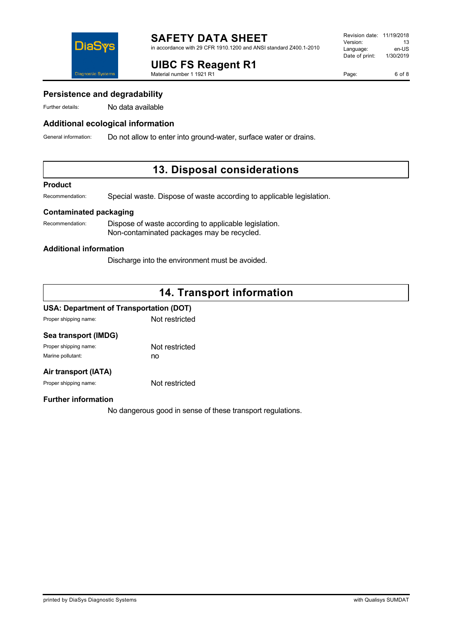

# **UIBC FS Reagent R1**

Material number 1 1921 R1

Page: 6 of 8

### **Persistence and degradability**

Further details: No data available

### **Additional ecological information**

General information: Do not allow to enter into ground-water, surface water or drains.

## **13. Disposal considerations**

#### **Product**

Recommendation: Special waste. Dispose of waste according to applicable legislation.

### **Contaminated packaging**

Recommendation: Dispose of waste according to applicable legislation. Non-contaminated packages may be recycled.

#### **Additional information**

Discharge into the environment must be avoided.

# **14. Transport information**

### **USA: Department of Transportation (DOT)**

Proper shipping name: Not restricted

| Sea transport (IMDG)  |                |
|-----------------------|----------------|
| Proper shipping name: | Not restricted |
| Marine pollutant:     | no             |
|                       |                |

## **Air transport (IATA)**

Proper shipping name: Not restricted

#### **Further information**

No dangerous good in sense of these transport regulations.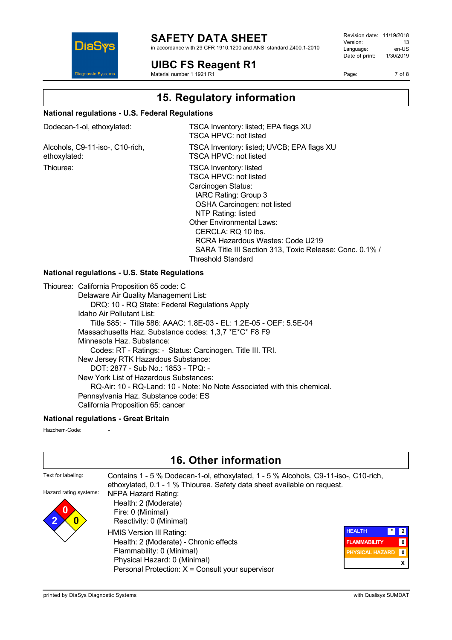

## **SAFETY DATA SHEET**

in accordance with 29 CFR 1910.1200 and ANSI standard Z400.1-2010

**UIBC FS Reagent R1**

Material number 1 1921 R1

Revision date: 11/19/2018 Version: 13<br>Language: en-LIS Language: en-US<br>Date of print: 1/30/2019  $Date$  of print:

Page: 7 of 8

**15. Regulatory information**

Threshold Standard

#### **National regulations - U.S. Federal Regulations**

| Dodecan-1-ol, ethoxylated: |  |
|----------------------------|--|
|----------------------------|--|

Alcohols, C9-11-iso-, C10-rich, ethoxylated:

TSCA Inventory: listed; EPA flags XU TSCA HPVC: not listed TSCA Inventory: listed; UVCB; EPA flags XU TSCA HPVC: not listed Thiourea: Thiourea: TSCA Inventory: listed TSCA HPVC: not listed Carcinogen Status: IARC Rating: Group 3 OSHA Carcinogen: not listed NTP Rating: listed Other Environmental Laws: CERCLA: RQ 10 lbs. RCRA Hazardous Wastes: Code U219 SARA Title III Section 313, Toxic Release: Conc. 0.1% /

### **National regulations - U.S. State Regulations**

Thiourea: California Proposition 65 code: C Delaware Air Quality Management List: DRQ: 10 - RQ State: Federal Regulations Apply Idaho Air Pollutant List: Title 585: - Title 586: AAAC: 1.8E-03 - EL: 1.2E-05 - OEF: 5.5E-04 Massachusetts Haz. Substance codes: 1,3,7 \*E\*C\* F8 F9 Minnesota Haz. Substance: Codes: RT - Ratings: - Status: Carcinogen. Title III. TRI. New Jersey RTK Hazardous Substance: DOT: 2877 - Sub No.: 1853 - TPQ: - New York List of Hazardous Substances: RQ-Air: 10 - RQ-Land: 10 - Note: No Note Associated with this chemical. Pennsylvania Haz. Substance code: ES California Proposition 65: cancer

#### **National regulations - Great Britain**

Hazchem-Code:

|                        | <b>16. Other information</b>                                                                                                                                    |                               |              |
|------------------------|-----------------------------------------------------------------------------------------------------------------------------------------------------------------|-------------------------------|--------------|
| Text for labeling:     | Contains 1 - 5 % Dodecan-1-ol, ethoxylated, 1 - 5 % Alcohols, C9-11-iso-, C10-rich,<br>ethoxylated, 0.1 - 1 % Thiourea. Safety data sheet available on request. |                               |              |
| Hazard rating systems: | <b>NFPA Hazard Rating:</b>                                                                                                                                      |                               |              |
|                        | Health: 2 (Moderate)                                                                                                                                            |                               |              |
|                        | Fire: 0 (Minimal)                                                                                                                                               |                               |              |
| 0                      | Reactivity: 0 (Minimal)                                                                                                                                         |                               |              |
|                        | HMIS Version III Rating:                                                                                                                                        | <b>HEALTH</b><br>$\mathbf{r}$ |              |
|                        | Health: 2 (Moderate) - Chronic effects                                                                                                                          | <b>FLAMMABILITY</b>           | 0            |
|                        | Flammability: 0 (Minimal)                                                                                                                                       | <b>PHYSICAL HAZARD</b>        | $\mathbf{0}$ |
|                        | Physical Hazard: 0 (Minimal)                                                                                                                                    |                               |              |
|                        | Personal Protection: $X =$ Consult your supervisor                                                                                                              |                               |              |